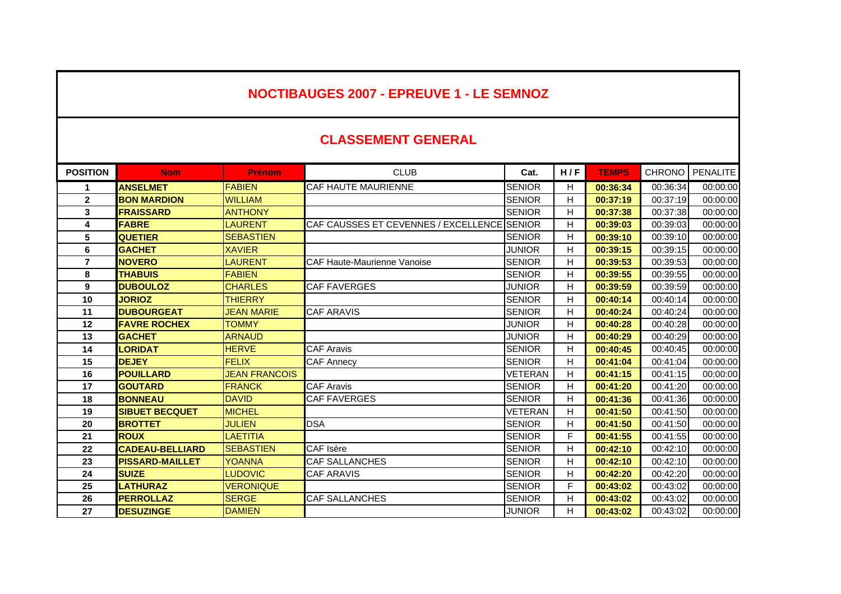## **NOCTIBAUGES 2007 - EPREUVE 1 - LE SEMNOZ**

## **CLASSEMENT GENERAL**

| <b>POSITION</b> | <b>Nom</b>             | <b>Prénom</b>        | <b>CLUB</b>                                 | Cat.           | H/F | <b>TEMPS</b> | <b>CHRONO</b> | <b>PENALITE</b> |
|-----------------|------------------------|----------------------|---------------------------------------------|----------------|-----|--------------|---------------|-----------------|
|                 | <b>ANSELMET</b>        | <b>FABIEN</b>        | CAF HAUTE MAURIENNE                         | <b>SENIOR</b>  | H.  | 00:36:34     | 00:36:34      | 00:00:00        |
| $\mathbf{2}$    | <b>BON MARDION</b>     | <b>WILLIAM</b>       |                                             | <b>SENIOR</b>  | H   | 00:37:19     | 00:37:19      | 00:00:00        |
| 3               | <b>FRAISSARD</b>       | <b>ANTHONY</b>       |                                             | <b>SENIOR</b>  | H.  | 00:37:38     | 00:37:38      | 00:00:00        |
| 4               | <b>FABRE</b>           | <b>LAURENT</b>       | CAF CAUSSES ET CEVENNES / EXCELLENCE SENIOR |                | H   | 00:39:03     | 00:39:03      | 00:00:00        |
| 5               | <b>QUETIER</b>         | <b>SEBASTIEN</b>     |                                             | <b>SENIOR</b>  | H   | 00:39:10     | 00:39:10      | 00:00:00        |
| 6               | <b>GACHET</b>          | <b>XAVIER</b>        |                                             | <b>JUNIOR</b>  | H.  | 00:39:15     | 00:39:15      | 00:00:00        |
| $\overline{7}$  | <b>NOVERO</b>          | <b>LAURENT</b>       | <b>CAF Haute-Maurienne Vanoise</b>          | <b>SENIOR</b>  | H   | 00:39:53     | 00:39:53      | 00:00:00        |
| 8               | <b>THABUIS</b>         | <b>FABIEN</b>        |                                             | <b>SENIOR</b>  | H.  | 00:39:55     | 00:39:55      | 00:00:00        |
| 9               | <b>DUBOULOZ</b>        | <b>CHARLES</b>       | <b>CAF FAVERGES</b>                         | <b>JUNIOR</b>  | H.  | 00:39:59     | 00:39:59      | 00:00:00        |
| 10              | <b>JORIOZ</b>          | <b>THIERRY</b>       |                                             | <b>SENIOR</b>  | H.  | 00:40:14     | 00:40:14      | 00:00:00        |
| 11              | <b>DUBOURGEAT</b>      | <b>JEAN MARIE</b>    | <b>CAF ARAVIS</b>                           | <b>SENIOR</b>  | H.  | 00:40:24     | 00:40:24      | 00:00:00        |
| 12              | <b>FAVRE ROCHEX</b>    | <b>TOMMY</b>         |                                             | <b>JUNIOR</b>  | H   | 00:40:28     | 00:40:28      | 00:00:00        |
| 13              | <b>GACHET</b>          | <b>ARNAUD</b>        |                                             | <b>JUNIOR</b>  | H   | 00:40:29     | 00:40:29      | 00:00:00        |
| 14              | <b>LORIDAT</b>         | <b>HERVE</b>         | <b>CAF Aravis</b>                           | <b>SENIOR</b>  | H.  | 00:40:45     | 00:40:45      | 00:00:00        |
| 15              | <b>DEJEY</b>           | <b>FELIX</b>         | <b>CAF Annecy</b>                           | <b>SENIOR</b>  | H.  | 00:41:04     | 00:41:04      | 00:00:00        |
| 16              | <b>POUILLARD</b>       | <b>JEAN FRANCOIS</b> |                                             | <b>VETERAN</b> | Н.  | 00:41:15     | 00:41:15      | 00:00:00        |
| 17              | <b>GOUTARD</b>         | <b>FRANCK</b>        | <b>CAF Aravis</b>                           | <b>SENIOR</b>  | H.  | 00:41:20     | 00:41:20      | 00:00:00        |
| 18              | <b>BONNEAU</b>         | <b>DAVID</b>         | <b>CAF FAVERGES</b>                         | <b>SENIOR</b>  | H   | 00:41:36     | 00:41:36      | 00:00:00        |
| 19              | <b>SIBUET BECQUET</b>  | <b>MICHEL</b>        |                                             | VETERAN        | H   | 00:41:50     | 00:41:50      | 00:00:00        |
| 20              | <b>BROTTET</b>         | <b>JULIEN</b>        | <b>DSA</b>                                  | <b>SENIOR</b>  | H.  | 00:41:50     | 00:41:50      | 00:00:00        |
| 21              | <b>ROUX</b>            | <b>LAETITIA</b>      |                                             | <b>SENIOR</b>  | F.  | 00:41:55     | 00:41:55      | 00:00:00        |
| 22              | <b>CADEAU-BELLIARD</b> | <b>SEBASTIEN</b>     | CAF Isère                                   | <b>SENIOR</b>  | H.  | 00:42:10     | 00:42:10      | 00:00:00        |
| 23              | <b>PISSARD-MAILLET</b> | <b>YOANNA</b>        | <b>CAF SALLANCHES</b>                       | <b>SENIOR</b>  | H   | 00:42:10     | 00:42:10      | 00:00:00        |
| 24              | <b>SUIZE</b>           | <b>LUDOVIC</b>       | <b>CAF ARAVIS</b>                           | <b>SENIOR</b>  | H.  | 00:42:20     | 00:42:20      | 00:00:00        |
| 25              | <b>LATHURAZ</b>        | <b>VERONIQUE</b>     |                                             | <b>SENIOR</b>  | F   | 00:43:02     | 00:43:02      | 00:00:00        |
| 26              | <b>PERROLLAZ</b>       | <b>SERGE</b>         | <b>CAF SALLANCHES</b>                       | <b>SENIOR</b>  | H.  | 00:43:02     | 00:43:02      | 00:00:00        |
| 27              | <b>DESUZINGE</b>       | <b>DAMIEN</b>        |                                             | <b>JUNIOR</b>  | H.  | 00:43:02     | 00:43:02      | 00:00:00        |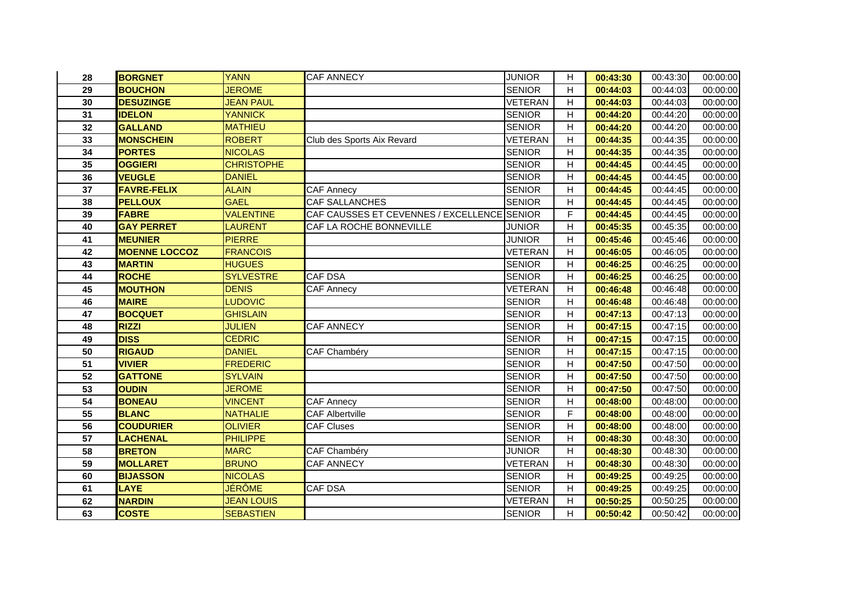| 28 | <b>BORGNET</b>       | <b>YANN</b>       | <b>CAF ANNECY</b>                           | <b>JUNIOR</b>  | H. | 00:43:30 | 00:43:30 | 00:00:00 |
|----|----------------------|-------------------|---------------------------------------------|----------------|----|----------|----------|----------|
| 29 | <b>BOUCHON</b>       | <b>JEROME</b>     |                                             | <b>SENIOR</b>  | H  | 00:44:03 | 00:44:03 | 00:00:00 |
| 30 | <b>DESUZINGE</b>     | <b>JEAN PAUL</b>  |                                             | <b>VETERAN</b> | H  | 00:44:03 | 00:44:03 | 00:00:00 |
| 31 | <b>IDELON</b>        | <b>YANNICK</b>    |                                             | <b>SENIOR</b>  | H  | 00:44:20 | 00:44:20 | 00:00:00 |
| 32 | <b>GALLAND</b>       | <b>MATHIEU</b>    |                                             | <b>SENIOR</b>  | H  | 00:44:20 | 00:44:20 | 00:00:00 |
| 33 | <b>MONSCHEIN</b>     | <b>ROBERT</b>     | Club des Sports Aix Revard                  | <b>VETERAN</b> | H  | 00:44:35 | 00:44:35 | 00:00:00 |
| 34 | <b>PORTES</b>        | <b>NICOLAS</b>    |                                             | <b>SENIOR</b>  | H  | 00:44:35 | 00:44:35 | 00:00:00 |
| 35 | <b>OGGIERI</b>       | <b>CHRISTOPHE</b> |                                             | <b>SENIOR</b>  | H  | 00:44:45 | 00:44:45 | 00:00:00 |
| 36 | <b>VEUGLE</b>        | <b>DANIEL</b>     |                                             | <b>SENIOR</b>  | H  | 00:44:45 | 00:44:45 | 00:00:00 |
| 37 | <b>FAVRE-FELIX</b>   | <b>ALAIN</b>      | <b>CAF Annecy</b>                           | <b>SENIOR</b>  | H  | 00:44:45 | 00:44:45 | 00:00:00 |
| 38 | <b>PELLOUX</b>       | <b>GAEL</b>       | CAF SALLANCHES                              | <b>SENIOR</b>  | Н  | 00:44:45 | 00:44:45 | 00:00:00 |
| 39 | <b>FABRE</b>         | <b>VALENTINE</b>  | CAF CAUSSES ET CEVENNES / EXCELLENCE SENIOR |                | F  | 00:44:45 | 00:44:45 | 00:00:00 |
| 40 | <b>GAY PERRET</b>    | LAURENT           | CAF LA ROCHE BONNEVILLE                     | <b>JUNIOR</b>  | H  | 00:45:35 | 00:45:35 | 00:00:00 |
| 41 | <b>MEUNIER</b>       | <b>PIERRE</b>     |                                             | <b>JUNIOR</b>  | H  | 00:45:46 | 00:45:46 | 00:00:00 |
| 42 | <b>MOENNE LOCCOZ</b> | <b>FRANCOIS</b>   |                                             | <b>VETERAN</b> | H  | 00:46:05 | 00:46:05 | 00:00:00 |
| 43 | <b>MARTIN</b>        | <b>HUGUES</b>     |                                             | <b>SENIOR</b>  | H  | 00:46:25 | 00:46:25 | 00:00:00 |
| 44 | <b>ROCHE</b>         | <b>SYLVESTRE</b>  | CAF DSA                                     | <b>SENIOR</b>  | H  | 00:46:25 | 00:46:25 | 00:00:00 |
| 45 | <b>MOUTHON</b>       | <b>DENIS</b>      | <b>CAF Annecy</b>                           | <b>VETERAN</b> | H  | 00:46:48 | 00:46:48 | 00:00:00 |
| 46 | <b>MAIRE</b>         | <b>LUDOVIC</b>    |                                             | <b>SENIOR</b>  | H  | 00:46:48 | 00:46:48 | 00:00:00 |
| 47 | <b>BOCQUET</b>       | <b>GHISLAIN</b>   |                                             | <b>SENIOR</b>  | H  | 00:47:13 | 00:47:13 | 00:00:00 |
| 48 | <b>RIZZI</b>         | <b>JULIEN</b>     | <b>CAF ANNECY</b>                           | <b>SENIOR</b>  | H  | 00:47:15 | 00:47:15 | 00:00:00 |
| 49 | <b>DISS</b>          | <b>CEDRIC</b>     |                                             | <b>SENIOR</b>  | H  | 00:47:15 | 00:47:15 | 00:00:00 |
| 50 | <b>RIGAUD</b>        | <b>DANIEL</b>     | CAF Chambéry                                | <b>SENIOR</b>  | H  | 00:47:15 | 00:47:15 | 00:00:00 |
| 51 | <b>VIVIER</b>        | <b>FREDERIC</b>   |                                             | <b>SENIOR</b>  | H  | 00:47:50 | 00:47:50 | 00:00:00 |
| 52 | <b>GATTONE</b>       | <b>SYLVAIN</b>    |                                             | <b>SENIOR</b>  | H  | 00:47:50 | 00:47:50 | 00:00:00 |
| 53 | <b>OUDIN</b>         | <b>JEROME</b>     |                                             | <b>SENIOR</b>  | H  | 00:47:50 | 00:47:50 | 00:00:00 |
| 54 | <b>BONEAU</b>        | <b>VINCENT</b>    | <b>CAF Annecy</b>                           | <b>SENIOR</b>  | H  | 00:48:00 | 00:48:00 | 00:00:00 |
| 55 | <b>BLANC</b>         | <b>NATHALIE</b>   | <b>CAF Albertville</b>                      | <b>SENIOR</b>  | F. | 00:48:00 | 00:48:00 | 00:00:00 |
| 56 | <b>COUDURIER</b>     | <b>OLIVIER</b>    | <b>CAF Cluses</b>                           | <b>SENIOR</b>  | H  | 00:48:00 | 00:48:00 | 00:00:00 |
| 57 | <b>LACHENAL</b>      | <b>PHILIPPE</b>   |                                             | <b>SENIOR</b>  | H  | 00:48:30 | 00:48:30 | 00:00:00 |
| 58 | <b>BRETON</b>        | <b>MARC</b>       | CAF Chambéry                                | <b>JUNIOR</b>  | H  | 00:48:30 | 00:48:30 | 00:00:00 |
| 59 | <b>MOLLARET</b>      | <b>BRUNO</b>      | <b>CAF ANNECY</b>                           | <b>VETERAN</b> | H  | 00:48:30 | 00:48:30 | 00:00:00 |
| 60 | <b>BIJASSON</b>      | <b>NICOLAS</b>    |                                             | <b>SENIOR</b>  | H  | 00:49:25 | 00:49:25 | 00:00:00 |
| 61 | <b>LAYE</b>          | <b>JÉRÔME</b>     | CAF DSA                                     | <b>SENIOR</b>  | H. | 00:49:25 | 00:49:25 | 00:00:00 |
| 62 | <b>NARDIN</b>        | <b>JEAN LOUIS</b> |                                             | <b>VETERAN</b> | H  | 00:50:25 | 00:50:25 | 00:00:00 |
| 63 | <b>COSTE</b>         | <b>SEBASTIEN</b>  |                                             | <b>SENIOR</b>  | H  | 00:50:42 | 00:50:42 | 00:00:00 |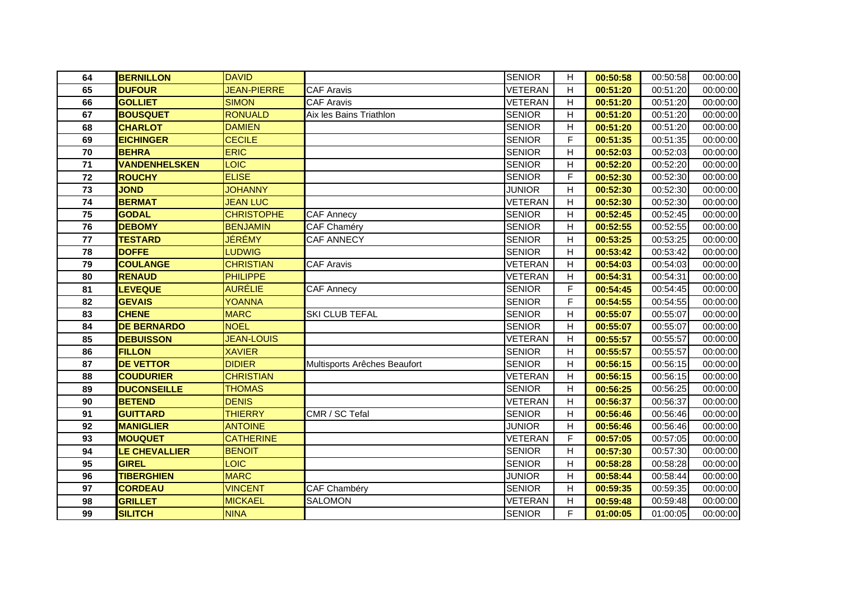| 64 | <b>BERNILLON</b>     | <b>DAVID</b>       |                              | <b>SENIOR</b>  | H                         | 00:50:58 | 00:50:58 | 00:00:00 |
|----|----------------------|--------------------|------------------------------|----------------|---------------------------|----------|----------|----------|
| 65 | <b>DUFOUR</b>        | <b>JEAN-PIERRE</b> | <b>CAF Aravis</b>            | <b>VETERAN</b> | H                         | 00:51:20 | 00:51:20 | 00:00:00 |
| 66 | <b>GOLLIET</b>       | <b>SIMON</b>       | <b>CAF Aravis</b>            | <b>VETERAN</b> | H                         | 00:51:20 | 00:51:20 | 00:00:00 |
| 67 | <b>BOUSQUET</b>      | <b>RONUALD</b>     | Aix les Bains Triathlon      | <b>SENIOR</b>  | H                         | 00:51:20 | 00:51:20 | 00:00:00 |
| 68 | <b>CHARLOT</b>       | <b>DAMIEN</b>      |                              | <b>SENIOR</b>  | H                         | 00:51:20 | 00:51:20 | 00:00:00 |
| 69 | <b>EICHINGER</b>     | <b>CECILE</b>      |                              | <b>SENIOR</b>  | F                         | 00:51:35 | 00:51:35 | 00:00:00 |
| 70 | <b>BEHRA</b>         | <b>ERIC</b>        |                              | <b>SENIOR</b>  | н                         | 00:52:03 | 00:52:03 | 00:00:00 |
| 71 | <b>VANDENHELSKEN</b> | <b>LOIC</b>        |                              | <b>SENIOR</b>  | H                         | 00:52:20 | 00:52:20 | 00:00:00 |
| 72 | <b>ROUCHY</b>        | <b>ELISE</b>       |                              | <b>SENIOR</b>  | F                         | 00:52:30 | 00:52:30 | 00:00:00 |
| 73 | <b>JOND</b>          | <b>JOHANNY</b>     |                              | <b>JUNIOR</b>  | H                         | 00:52:30 | 00:52:30 | 00:00:00 |
| 74 | <b>BERMAT</b>        | <b>JEAN LUC</b>    |                              | <b>VETERAN</b> | H                         | 00:52:30 | 00:52:30 | 00:00:00 |
| 75 | <b>GODAL</b>         | <b>CHRISTOPHE</b>  | CAF Annecy                   | <b>SENIOR</b>  | H                         | 00:52:45 | 00:52:45 | 00:00:00 |
| 76 | <b>DEBOMY</b>        | <b>BENJAMIN</b>    | CAF Chaméry                  | <b>SENIOR</b>  | H                         | 00:52:55 | 00:52:55 | 00:00:00 |
| 77 | <b>TESTARD</b>       | JÉRÉMY             | CAF ANNECY                   | <b>SENIOR</b>  | H                         | 00:53:25 | 00:53:25 | 00:00:00 |
| 78 | <b>DOFFE</b>         | <b>LUDWIG</b>      |                              | <b>SENIOR</b>  | H                         | 00:53:42 | 00:53:42 | 00:00:00 |
| 79 | <b>COULANGE</b>      | <b>CHRISTIAN</b>   | <b>CAF Aravis</b>            | VETERAN        | H                         | 00:54:03 | 00:54:03 | 00:00:00 |
| 80 | <b>RENAUD</b>        | <b>PHILIPPE</b>    |                              | <b>VETERAN</b> | H                         | 00:54:31 | 00:54:31 | 00:00:00 |
| 81 | <b>LEVEQUE</b>       | <b>AURÉLIE</b>     | <b>CAF Annecy</b>            | <b>SENIOR</b>  | F.                        | 00:54:45 | 00:54:45 | 00:00:00 |
| 82 | <b>GEVAIS</b>        | <b>YOANNA</b>      |                              | <b>SENIOR</b>  | F.                        | 00:54:55 | 00:54:55 | 00:00:00 |
| 83 | <b>CHENE</b>         | <b>MARC</b>        | SKI CLUB TEFAL               | <b>SENIOR</b>  | H                         | 00:55:07 | 00:55:07 | 00:00:00 |
| 84 | <b>DE BERNARDO</b>   | <b>NOEL</b>        |                              | <b>SENIOR</b>  | H                         | 00:55:07 | 00:55:07 | 00:00:00 |
| 85 | <b>DEBUISSON</b>     | <b>JEAN-LOUIS</b>  |                              | <b>VETERAN</b> | $\boldsymbol{\mathsf{H}}$ | 00:55:57 | 00:55:57 | 00:00:00 |
| 86 | <b>FILLON</b>        | <b>XAVIER</b>      |                              | <b>SENIOR</b>  | H                         | 00:55:57 | 00:55:57 | 00:00:00 |
| 87 | <b>DE VETTOR</b>     | <b>DIDIER</b>      | Multisports Arêches Beaufort | <b>SENIOR</b>  | H                         | 00:56:15 | 00:56:15 | 00:00:00 |
| 88 | <b>COUDURIER</b>     | <b>CHRISTIAN</b>   |                              | <b>VETERAN</b> | H                         | 00:56:15 | 00:56:15 | 00:00:00 |
| 89 | <b>DUCONSEILLE</b>   | <b>THOMAS</b>      |                              | <b>SENIOR</b>  | H                         | 00:56:25 | 00:56:25 | 00:00:00 |
| 90 | <b>BETEND</b>        | <b>DENIS</b>       |                              | <b>VETERAN</b> | H                         | 00:56:37 | 00:56:37 | 00:00:00 |
| 91 | <b>GUITTARD</b>      | <b>THIERRY</b>     | CMR / SC Tefal               | <b>SENIOR</b>  | H                         | 00:56:46 | 00:56:46 | 00:00:00 |
| 92 | <b>MANIGLIER</b>     | <b>ANTOINE</b>     |                              | <b>JUNIOR</b>  | H                         | 00:56:46 | 00:56:46 | 00:00:00 |
| 93 | <b>MOUQUET</b>       | <b>CATHERINE</b>   |                              | <b>VETERAN</b> | F                         | 00:57:05 | 00:57:05 | 00:00:00 |
| 94 | LE CHEVALLIER        | <b>BENOIT</b>      |                              | <b>SENIOR</b>  | H                         | 00:57:30 | 00:57:30 | 00:00:00 |
| 95 | <b>GIREL</b>         | <b>LOIC</b>        |                              | <b>SENIOR</b>  | H                         | 00:58:28 | 00:58:28 | 00:00:00 |
| 96 | <b>TIBERGHIEN</b>    | <b>MARC</b>        |                              | <b>JUNIOR</b>  | H                         | 00:58:44 | 00:58:44 | 00:00:00 |
| 97 | <b>CORDEAU</b>       | <b>VINCENT</b>     | CAF Chambéry                 | <b>SENIOR</b>  | H                         | 00:59:35 | 00:59:35 | 00:00:00 |
| 98 | <b>GRILLET</b>       | <b>MICKAEL</b>     | <b>SALOMON</b>               | <b>VETERAN</b> | H                         | 00:59:48 | 00:59:48 | 00:00:00 |
| 99 | <b>SILITCH</b>       | <b>NINA</b>        |                              | <b>SENIOR</b>  | F.                        | 01:00:05 | 01:00:05 | 00:00:00 |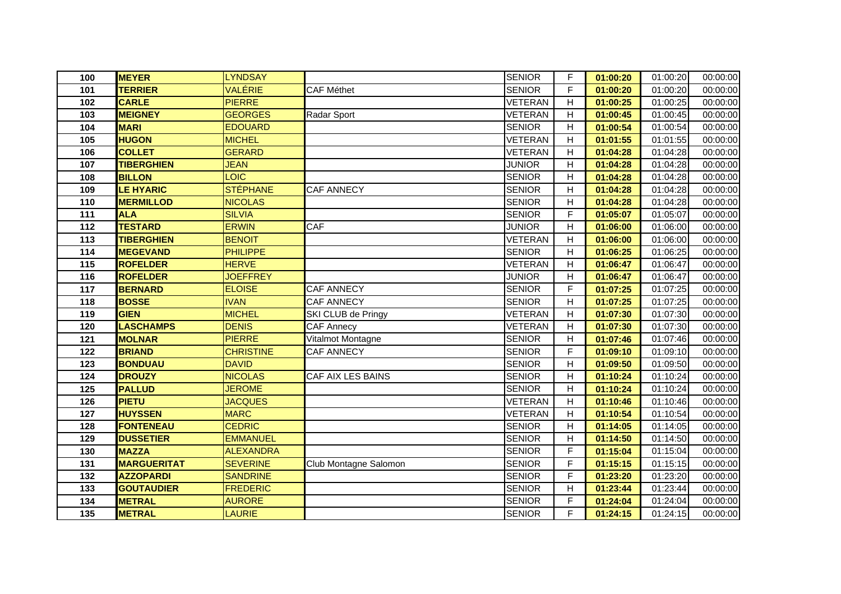| 100 | <b>MEYER</b>       | <b>LYNDSAY</b>   |                       | <b>SENIOR</b>  | F                         | 01:00:20 | 01:00:20 | 00:00:00 |
|-----|--------------------|------------------|-----------------------|----------------|---------------------------|----------|----------|----------|
| 101 | <b>TERRIER</b>     | VALÉRIE          | <b>CAF Méthet</b>     | <b>SENIOR</b>  | $\mathsf F$               | 01:00:20 | 01:00:20 | 00:00:00 |
| 102 | <b>CARLE</b>       | <b>PIERRE</b>    |                       | <b>VETERAN</b> | H                         | 01:00:25 | 01:00:25 | 00:00:00 |
| 103 | <b>MEIGNEY</b>     | <b>GEORGES</b>   | Radar Sport           | <b>VETERAN</b> | H                         | 01:00:45 | 01:00:45 | 00:00:00 |
| 104 | <b>MARI</b>        | <b>EDOUARD</b>   |                       | <b>SENIOR</b>  | H                         | 01:00:54 | 01:00:54 | 00:00:00 |
| 105 | <b>HUGON</b>       | <b>MICHEL</b>    |                       | <b>VETERAN</b> | H                         | 01:01:55 | 01:01:55 | 00:00:00 |
| 106 | <b>COLLET</b>      | <b>GERARD</b>    |                       | <b>VETERAN</b> | H                         | 01:04:28 | 01:04:28 | 00:00:00 |
| 107 | <b>TIBERGHIEN</b>  | <b>JEAN</b>      |                       | <b>JUNIOR</b>  | H                         | 01:04:28 | 01:04:28 | 00:00:00 |
| 108 | <b>BILLON</b>      | LOIC             |                       | <b>SENIOR</b>  | H                         | 01:04:28 | 01:04:28 | 00:00:00 |
| 109 | <b>LE HYARIC</b>   | <b>STÉPHANE</b>  | <b>CAF ANNECY</b>     | <b>SENIOR</b>  | H                         | 01:04:28 | 01:04:28 | 00:00:00 |
| 110 | <b>MERMILLOD</b>   | <b>NICOLAS</b>   |                       | <b>SENIOR</b>  | Н                         | 01:04:28 | 01:04:28 | 00:00:00 |
| 111 | <b>ALA</b>         | <b>SILVIA</b>    |                       | <b>SENIOR</b>  | F                         | 01:05:07 | 01:05:07 | 00:00:00 |
| 112 | <b>TESTARD</b>     | <b>ERWIN</b>     | CAF                   | <b>JUNIOR</b>  | $\boldsymbol{\mathsf{H}}$ | 01:06:00 | 01:06:00 | 00:00:00 |
| 113 | <b>TIBERGHIEN</b>  | <b>BENOIT</b>    |                       | <b>VETERAN</b> | H                         | 01:06:00 | 01:06:00 | 00:00:00 |
| 114 | <b>MEGEVAND</b>    | <b>PHILIPPE</b>  |                       | <b>SENIOR</b>  | H                         | 01:06:25 | 01:06:25 | 00:00:00 |
| 115 | <b>ROFELDER</b>    | <b>HERVE</b>     |                       | <b>VETERAN</b> | H                         | 01:06:47 | 01:06:47 | 00:00:00 |
| 116 | <b>ROFELDER</b>    | <b>JOEFFREY</b>  |                       | <b>JUNIOR</b>  | H                         | 01:06:47 | 01:06:47 | 00:00:00 |
| 117 | <b>BERNARD</b>     | <b>ELOISE</b>    | <b>CAF ANNECY</b>     | <b>SENIOR</b>  | F                         | 01:07:25 | 01:07:25 | 00:00:00 |
| 118 | <b>BOSSE</b>       | <b>IVAN</b>      | <b>CAF ANNECY</b>     | <b>SENIOR</b>  | H                         | 01:07:25 | 01:07:25 | 00:00:00 |
| 119 | <b>GIEN</b>        | <b>MICHEL</b>    | SKI CLUB de Pringy    | <b>VETERAN</b> | H                         | 01:07:30 | 01:07:30 | 00:00:00 |
| 120 | <b>LASCHAMPS</b>   | <b>DENIS</b>     | <b>CAF Annecy</b>     | <b>VETERAN</b> | H                         | 01:07:30 | 01:07:30 | 00:00:00 |
| 121 | <b>MOLNAR</b>      | <b>PIERRE</b>    | Vitalmot Montagne     | <b>SENIOR</b>  | H                         | 01:07:46 | 01:07:46 | 00:00:00 |
| 122 | <b>BRIAND</b>      | <b>CHRISTINE</b> | CAF ANNECY            | <b>SENIOR</b>  | F                         | 01:09:10 | 01:09:10 | 00:00:00 |
| 123 | <b>BONDUAU</b>     | <b>DAVID</b>     |                       | <b>SENIOR</b>  | H                         | 01:09:50 | 01:09:50 | 00:00:00 |
| 124 | <b>DROUZY</b>      | <b>NICOLAS</b>   | CAF AIX LES BAINS     | <b>SENIOR</b>  | H                         | 01:10:24 | 01:10:24 | 00:00:00 |
| 125 | <b>PALLUD</b>      | <b>JEROME</b>    |                       | <b>SENIOR</b>  | $\boldsymbol{\mathsf{H}}$ | 01:10:24 | 01:10:24 | 00:00:00 |
| 126 | <b>PIETU</b>       | <b>JACQUES</b>   |                       | <b>VETERAN</b> | H                         | 01:10:46 | 01:10:46 | 00:00:00 |
| 127 | <b>HUYSSEN</b>     | <b>MARC</b>      |                       | <b>VETERAN</b> | H                         | 01:10:54 | 01:10:54 | 00:00:00 |
| 128 | <b>FONTENEAU</b>   | <b>CEDRIC</b>    |                       | <b>SENIOR</b>  | H                         | 01:14:05 | 01:14:05 | 00:00:00 |
| 129 | <b>DUSSETIER</b>   | <b>EMMANUEL</b>  |                       | <b>SENIOR</b>  | H                         | 01:14:50 | 01:14:50 | 00:00:00 |
| 130 | <b>MAZZA</b>       | <b>ALEXANDRA</b> |                       | <b>SENIOR</b>  | F                         | 01:15:04 | 01:15:04 | 00:00:00 |
| 131 | <b>MARGUERITAT</b> | <b>SEVERINE</b>  | Club Montagne Salomon | <b>SENIOR</b>  | F                         | 01:15:15 | 01:15:15 | 00:00:00 |
| 132 | <b>AZZOPARDI</b>   | <b>SANDRINE</b>  |                       | <b>SENIOR</b>  | F                         | 01:23:20 | 01:23:20 | 00:00:00 |
| 133 | <b>GOUTAUDIER</b>  | <b>FREDERIC</b>  |                       | <b>SENIOR</b>  | H.                        | 01:23:44 | 01:23:44 | 00:00:00 |
| 134 | <b>METRAL</b>      | <b>AURORE</b>    |                       | <b>SENIOR</b>  | $\mathsf F$               | 01:24:04 | 01:24:04 | 00:00:00 |
| 135 | <b>METRAL</b>      | LAURIE           |                       | <b>SENIOR</b>  | F.                        | 01:24:15 | 01:24:15 | 00:00:00 |